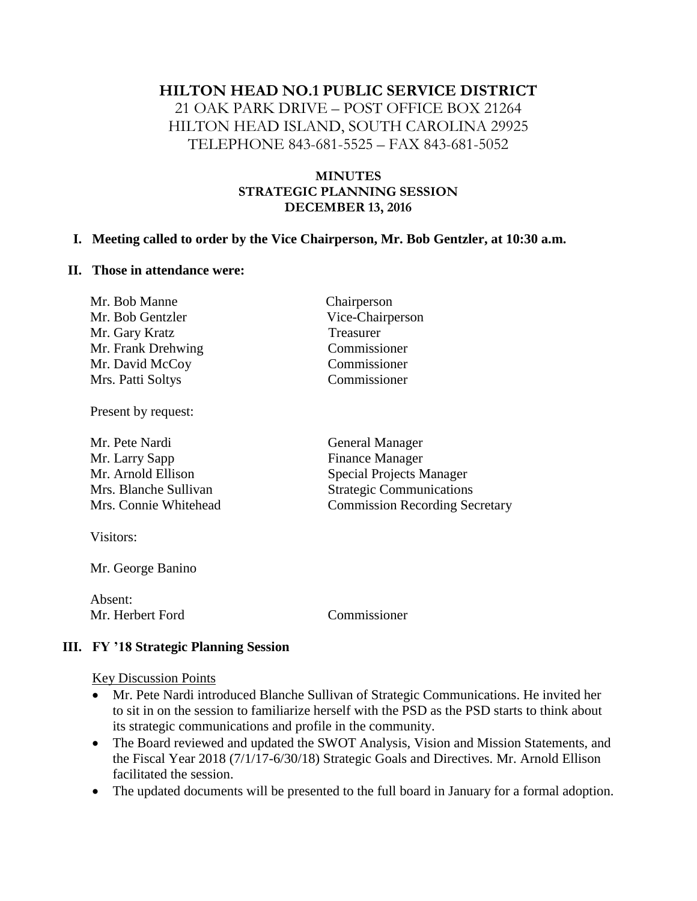# **HILTON HEAD NO.1 PUBLIC SERVICE DISTRICT** 21 OAK PARK DRIVE – POST OFFICE BOX 21264 HILTON HEAD ISLAND, SOUTH CAROLINA 29925 TELEPHONE 843-681-5525 – FAX 843-681-5052

### **MINUTES STRATEGIC PLANNING SESSION DECEMBER 13, 2016**

### **I. Meeting called to order by the Vice Chairperson, Mr. Bob Gentzler, at 10:30 a.m.**

#### **II. Those in attendance were:**

| Mr. Bob Manne      | Chairperson      |
|--------------------|------------------|
| Mr. Bob Gentzler   | Vice-Chairperson |
| Mr. Gary Kratz     | Treasurer        |
| Mr. Frank Drehwing | Commissioner     |
| Mr. David McCoy    | Commissioner     |
| Mrs. Patti Soltys  | Commissioner     |

Present by request:

Mr. Pete Nardi General Manager Mr. Larry Sapp Finance Manager Mr. Arnold Ellison Special Projects Manager Mrs. Blanche Sullivan Strategic Communications Mrs. Connie Whitehead Commission Recording Secretary

Visitors:

Mr. George Banino

Absent: Mr. Herbert Ford Commissioner

### **III. FY '18 Strategic Planning Session**

#### Key Discussion Points

- Mr. Pete Nardi introduced Blanche Sullivan of Strategic Communications. He invited her to sit in on the session to familiarize herself with the PSD as the PSD starts to think about its strategic communications and profile in the community.
- The Board reviewed and updated the SWOT Analysis, Vision and Mission Statements, and the Fiscal Year 2018 (7/1/17-6/30/18) Strategic Goals and Directives. Mr. Arnold Ellison facilitated the session.
- The updated documents will be presented to the full board in January for a formal adoption.